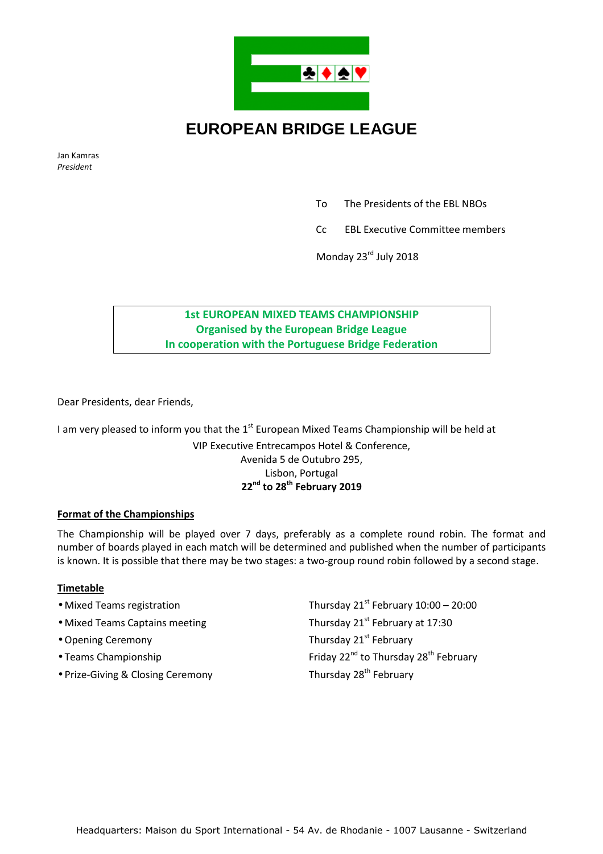

# **EUROPEAN BRIDGE LEAGUE**

Jan Kamras *President* 

To The Presidents of the EBL NBOs

Cc EBL Executive Committee members

Monday 23rd July 2018

## **1st EUROPEAN MIXED TEAMS CHAMPIONSHIP Organised by the European Bridge League In cooperation with the Portuguese Bridge Federation**

Dear Presidents, dear Friends,

I am very pleased to inform you that the  $1<sup>st</sup>$  European Mixed Teams Championship will be held at VIP Executive Entrecampos Hotel & Conference, Avenida 5 de Outubro 295, Lisbon, Portugal **22nd to 28th February 2019** 

## **Format of the Championships**

The Championship will be played over 7 days, preferably as a complete round robin. The format and number of boards played in each match will be determined and published when the number of participants is known. It is possible that there may be two stages: a two-group round robin followed by a second stage.

#### **Timetable**

• Mixed Teams registration Thursday 21<sup>st</sup> February 10:00 – 20:00 • Mixed Teams Captains meeting Thursday 21<sup>st</sup> February at 17:30 • Opening Ceremony **Thursday 21<sup>st</sup> February** • Teams Championship **Friday 22<sup>nd</sup> to Thursday 28<sup>th</sup> February** • Prize-Giving & Closing Ceremony Thursday 28<sup>th</sup> February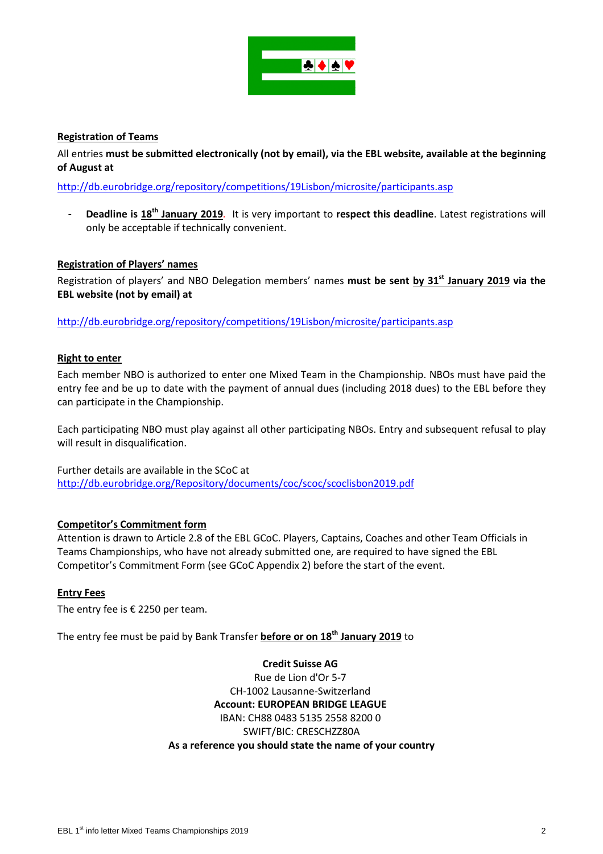

## **Registration of Teams**

All entries **must be submitted electronically (not by email), via the EBL website, available at the beginning of August at**

http://db.eurobridge.org/repository/competitions/19Lisbon/microsite/participants.asp

- **Deadline is 18th January 2019***.* It is very important to **respect this deadline**. Latest registrations will only be acceptable if technically convenient.

## **Registration of Players' names**

Registration of players' and NBO Delegation members' names **must be sent by 31st January 2019 via the EBL website (not by email) at**

http://db.eurobridge.org/repository/competitions/19Lisbon/microsite/participants.asp

#### **Right to enter**

Each member NBO is authorized to enter one Mixed Team in the Championship. NBOs must have paid the entry fee and be up to date with the payment of annual dues (including 2018 dues) to the EBL before they can participate in the Championship.

Each participating NBO must play against all other participating NBOs. Entry and subsequent refusal to play will result in disqualification.

Further details are available in the SCoC at http://db.eurobridge.org/Repository/documents/coc/scoc/scoclisbon2019.pdf

#### **Competitor's Commitment form**

Attention is drawn to Article 2.8 of the EBL GCoC. Players, Captains, Coaches and other Team Officials in Teams Championships, who have not already submitted one, are required to have signed the EBL Competitor's Commitment Form (see GCoC Appendix 2) before the start of the event.

#### **Entry Fees**

The entry fee is  $\epsilon$  2250 per team.

The entry fee must be paid by Bank Transfer **before or on 18th January 2019** to

**Credit Suisse AG**  Rue de Lion d'Or 5-7 CH-1002 Lausanne-Switzerland **Account: EUROPEAN BRIDGE LEAGUE**  IBAN: CH88 0483 5135 2558 8200 0 SWIFT/BIC: CRESCHZZ80A **As a reference you should state the name of your country**